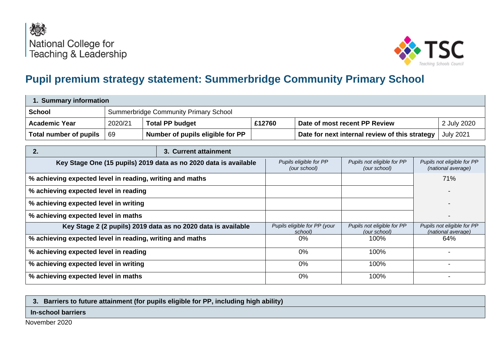



## **Pupil premium strategy statement: Summerbridge Community Primary School**

| 1. Summary information                                                                                                                                                                                       |         |                                  |        |                                                |                                            |  |                                                  |
|--------------------------------------------------------------------------------------------------------------------------------------------------------------------------------------------------------------|---------|----------------------------------|--------|------------------------------------------------|--------------------------------------------|--|--------------------------------------------------|
| <b>Summerbridge Community Primary School</b><br><b>School</b>                                                                                                                                                |         |                                  |        |                                                |                                            |  |                                                  |
| <b>Academic Year</b>                                                                                                                                                                                         | 2020/21 | <b>Total PP budget</b>           | £12760 | 2 July 2020<br>Date of most recent PP Review   |                                            |  |                                                  |
| Total number of pupils                                                                                                                                                                                       | 69      | Number of pupils eligible for PP |        | Date for next internal review of this strategy |                                            |  | <b>July 2021</b>                                 |
| 2.<br>3. Current attainment                                                                                                                                                                                  |         |                                  |        |                                                |                                            |  |                                                  |
| Pupils eligible for PP<br>Pupils not eligible for PP<br>Pupils not eligible for PP<br>Key Stage One (15 pupils) 2019 data as no 2020 data is available<br>(our school)<br>(our school)<br>(national average) |         |                                  |        |                                                |                                            |  |                                                  |
| % achieving expected level in reading, writing and maths                                                                                                                                                     |         |                                  |        |                                                |                                            |  | 71%                                              |
| % achieving expected level in reading                                                                                                                                                                        |         |                                  |        |                                                |                                            |  |                                                  |
| % achieving expected level in writing                                                                                                                                                                        |         |                                  |        |                                                |                                            |  |                                                  |
| % achieving expected level in maths                                                                                                                                                                          |         |                                  |        |                                                |                                            |  |                                                  |
| Key Stage 2 (2 pupils) 2019 data as no 2020 data is available                                                                                                                                                |         |                                  |        | Pupils eligible for PP (your<br>school)        | Pupils not eligible for PP<br>(our school) |  | Pupils not eligible for PP<br>(national average) |
| % achieving expected level in reading, writing and maths                                                                                                                                                     |         |                                  |        | 0%                                             | 100%                                       |  | 64%                                              |
| % achieving expected level in reading                                                                                                                                                                        |         |                                  |        | $0\%$                                          | 100%                                       |  |                                                  |
| % achieving expected level in writing                                                                                                                                                                        |         |                                  |        | $0\%$                                          | 100%                                       |  |                                                  |
| % achieving expected level in maths                                                                                                                                                                          |         |                                  |        | 0%                                             | 100%                                       |  |                                                  |

**3. Barriers to future attainment (for pupils eligible for PP, including high ability)**

## **In-school barriers**

November 2020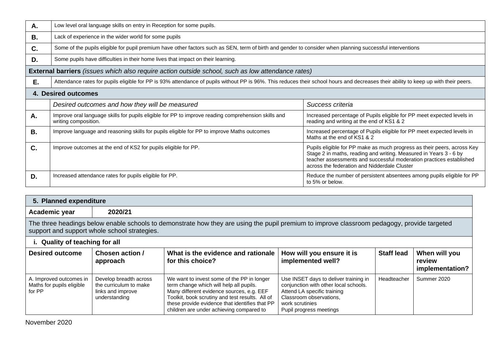| Α.        | Low level oral language skills on entry in Reception for some pupils.                                                                                                               |                                                                                                                                                                                                                                                                     |  |  |  |  |  |
|-----------|-------------------------------------------------------------------------------------------------------------------------------------------------------------------------------------|---------------------------------------------------------------------------------------------------------------------------------------------------------------------------------------------------------------------------------------------------------------------|--|--|--|--|--|
| В.        | Lack of experience in the wider world for some pupils                                                                                                                               |                                                                                                                                                                                                                                                                     |  |  |  |  |  |
| C.        | Some of the pupils eligible for pupil premium have other factors such as SEN, term of birth and gender to consider when planning successful interventions                           |                                                                                                                                                                                                                                                                     |  |  |  |  |  |
| D.        | Some pupils have difficulties in their home lives that impact on their learning.                                                                                                    |                                                                                                                                                                                                                                                                     |  |  |  |  |  |
|           | <b>External barriers</b> (issues which also require action outside school, such as low attendance rates)                                                                            |                                                                                                                                                                                                                                                                     |  |  |  |  |  |
| E.        | Attendance rates for pupils eligible for PP is 93% attendance of pupils without PP is 96%. This reduces their school hours and decreases their ability to keep up with their peers. |                                                                                                                                                                                                                                                                     |  |  |  |  |  |
|           | 4. Desired outcomes                                                                                                                                                                 |                                                                                                                                                                                                                                                                     |  |  |  |  |  |
|           | Desired outcomes and how they will be measured<br>Success criteria                                                                                                                  |                                                                                                                                                                                                                                                                     |  |  |  |  |  |
| Α.        | Improve oral language skills for pupils eligible for PP to improve reading comprehension skills and<br>writing composition.                                                         | Increased percentage of Pupils eligible for PP meet expected levels in<br>reading and writing at the end of KS1 & 2                                                                                                                                                 |  |  |  |  |  |
| <b>B.</b> | Improve language and reasoning skills for pupils eligible for PP to improve Maths outcomes                                                                                          | Increased percentage of Pupils eligible for PP meet expected levels in<br>Maths at the end of KS1 & 2                                                                                                                                                               |  |  |  |  |  |
| C.        | Improve outcomes at the end of KS2 for pupils eligible for PP.                                                                                                                      | Pupils eligible for PP make as much progress as their peers, across Key<br>Stage 2 in maths, reading and writing. Measured in Years 3 - 6 by<br>teacher assessments and successful moderation practices established<br>across the federation and Nidderdale Cluster |  |  |  |  |  |
| D.        | Increased attendance rates for pupils eligible for PP.                                                                                                                              | Reduce the number of persistent absentees among pupils eligible for PP<br>to 5% or below.                                                                                                                                                                           |  |  |  |  |  |

| 5. Planned expenditure                                                                                                                                                                      |                                                                                        |                                                                                                                                                                                                                                                                                     |                                                                                                                                                                                        |                   |                                            |  |  |  |
|---------------------------------------------------------------------------------------------------------------------------------------------------------------------------------------------|----------------------------------------------------------------------------------------|-------------------------------------------------------------------------------------------------------------------------------------------------------------------------------------------------------------------------------------------------------------------------------------|----------------------------------------------------------------------------------------------------------------------------------------------------------------------------------------|-------------------|--------------------------------------------|--|--|--|
| Academic year                                                                                                                                                                               | 2020/21                                                                                |                                                                                                                                                                                                                                                                                     |                                                                                                                                                                                        |                   |                                            |  |  |  |
| The three headings below enable schools to demonstrate how they are using the pupil premium to improve classroom pedagogy, provide targeted<br>support and support whole school strategies. |                                                                                        |                                                                                                                                                                                                                                                                                     |                                                                                                                                                                                        |                   |                                            |  |  |  |
| i. Quality of teaching for all                                                                                                                                                              |                                                                                        |                                                                                                                                                                                                                                                                                     |                                                                                                                                                                                        |                   |                                            |  |  |  |
| <b>Desired outcome</b>                                                                                                                                                                      | Chosen action /<br>approach                                                            | What is the evidence and rationale<br>for this choice?                                                                                                                                                                                                                              | How will you ensure it is<br>implemented well?                                                                                                                                         | <b>Staff lead</b> | When will you<br>review<br>implementation? |  |  |  |
| A. Improved outcomes in<br>Maths for pupils eligible<br>for PP                                                                                                                              | Develop breadth across<br>the curriculum to make<br>links and improve<br>understanding | We want to invest some of the PP in longer<br>term change which will help all pupils.<br>Many different evidence sources, e.g. EEF<br>Toolkit, book scrutiny and test results. All of<br>these provide evidence that identifies that PP<br>children are under achieving compared to | Use INSET days to deliver training in<br>conjunction with other local schools.<br>Attend LA specific training<br>Classroom observations,<br>work scrutinies<br>Pupil progress meetings | Headteacher       | Summer 2020                                |  |  |  |

November 2020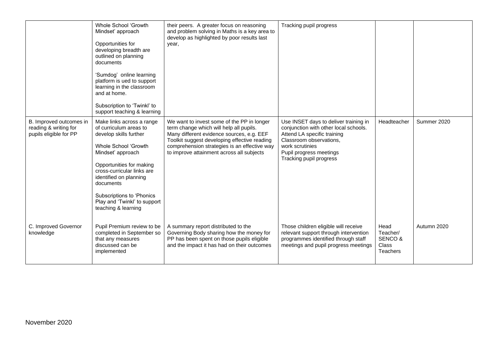|                                                                            | Whole School 'Growth<br>Mindset' approach<br>Opportunities for<br>developing breadth are<br>outlined on planning<br>documents<br>'Sumdog' online learning<br>platform is ued to support<br>learning in the classroom<br>and at home.<br>Subscription to 'Twinkl' to<br>support teaching & learning              | their peers. A greater focus on reasoning<br>and problem solving in Maths is a key area to<br>develop as highlighted by poor results last<br>year,                                                                                                                              | Tracking pupil progress                                                                                                                                                                                           |                                                  |             |
|----------------------------------------------------------------------------|-----------------------------------------------------------------------------------------------------------------------------------------------------------------------------------------------------------------------------------------------------------------------------------------------------------------|---------------------------------------------------------------------------------------------------------------------------------------------------------------------------------------------------------------------------------------------------------------------------------|-------------------------------------------------------------------------------------------------------------------------------------------------------------------------------------------------------------------|--------------------------------------------------|-------------|
| B. Improved outcomes in<br>reading & writing for<br>pupils eligible for PP | Make links across a range<br>of curriculum areas to<br>develop skills further<br>Whole School 'Growth<br>Mindset' approach<br>Opportunities for making<br>cross-curricular links are<br>identified on planning<br>documents<br>Subscriptions to 'Phonics<br>Play and 'Twinkl' to support<br>teaching & learning | We want to invest some of the PP in longer<br>term change which will help all pupils.<br>Many different evidence sources, e.g. EEF<br>Toolkit suggest developing effective reading<br>comprehension strategies is an effective way<br>to improve attainment across all subjects | Use INSET days to deliver training in<br>conjunction with other local schools.<br>Attend LA specific training<br>Classroom observations,<br>work scrutinies<br>Pupil progress meetings<br>Tracking pupil progress | Headteacher                                      | Summer 2020 |
| C. Improved Governor<br>knowledge                                          | Pupil Premium review to be<br>completed in September so<br>that any measures<br>discussed can be<br>implemented                                                                                                                                                                                                 | A summary report distributed to the<br>Governing Body sharing how the money for<br>PP has been spent on those pupils eligible<br>and the impact it has had on their outcomes                                                                                                    | Those children eligible will receive<br>relevant support through intervention<br>programmes identified through staff<br>meetings and pupil progress meetings                                                      | Head<br>Teacher/<br>SENCO &<br>Class<br>Teachers | Autumn 2020 |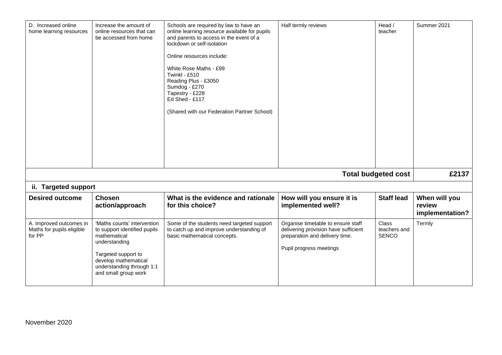| D. Increased online<br>home learning resources                 | Increase the amount of<br>online resources that can<br>be accessed from home                                                                                                                     | Schools are required by law to have an<br>online learning resource available for pupils<br>and parents to access in the event of a<br>lockdown or self-isolation<br>Online resources include:<br>White Rose Maths - £99<br>Twinkl - £510<br>Reading Plus - £3050<br>Sumdog - £270<br>Tapestry - £228<br>Ed Shed - £117<br>(Shared with our Federation Partner School) | Half termly reviews                                                                                                                     | Head /<br>teacher                            | Summer 2021                                |  |  |  |
|----------------------------------------------------------------|--------------------------------------------------------------------------------------------------------------------------------------------------------------------------------------------------|-----------------------------------------------------------------------------------------------------------------------------------------------------------------------------------------------------------------------------------------------------------------------------------------------------------------------------------------------------------------------|-----------------------------------------------------------------------------------------------------------------------------------------|----------------------------------------------|--------------------------------------------|--|--|--|
|                                                                |                                                                                                                                                                                                  |                                                                                                                                                                                                                                                                                                                                                                       |                                                                                                                                         | <b>Total budgeted cost</b>                   | £2137                                      |  |  |  |
|                                                                | ii. Targeted support                                                                                                                                                                             |                                                                                                                                                                                                                                                                                                                                                                       |                                                                                                                                         |                                              |                                            |  |  |  |
| <b>Desired outcome</b>                                         | <b>Chosen</b><br>action/approach                                                                                                                                                                 | What is the evidence and rationale<br>for this choice?                                                                                                                                                                                                                                                                                                                | How will you ensure it is<br>implemented well?                                                                                          | <b>Staff lead</b>                            | When will you<br>review<br>implementation? |  |  |  |
| A. Improved outcomes in<br>Maths for pupils eligible<br>for PP | 'Maths counts' intervention<br>to support identified pupils<br>mathematical<br>understanding<br>Targeted support to<br>develop mathematical<br>understanding through 1:1<br>and small group work | Some of the students need targeted support<br>to catch up and improve understanding of<br>basic mathematical concepts.                                                                                                                                                                                                                                                | Organise timetable to ensure staff<br>delivering provision have sufficient<br>preparation and delivery time.<br>Pupil progress meetings | <b>Class</b><br>teachers and<br><b>SENCO</b> | Termly                                     |  |  |  |